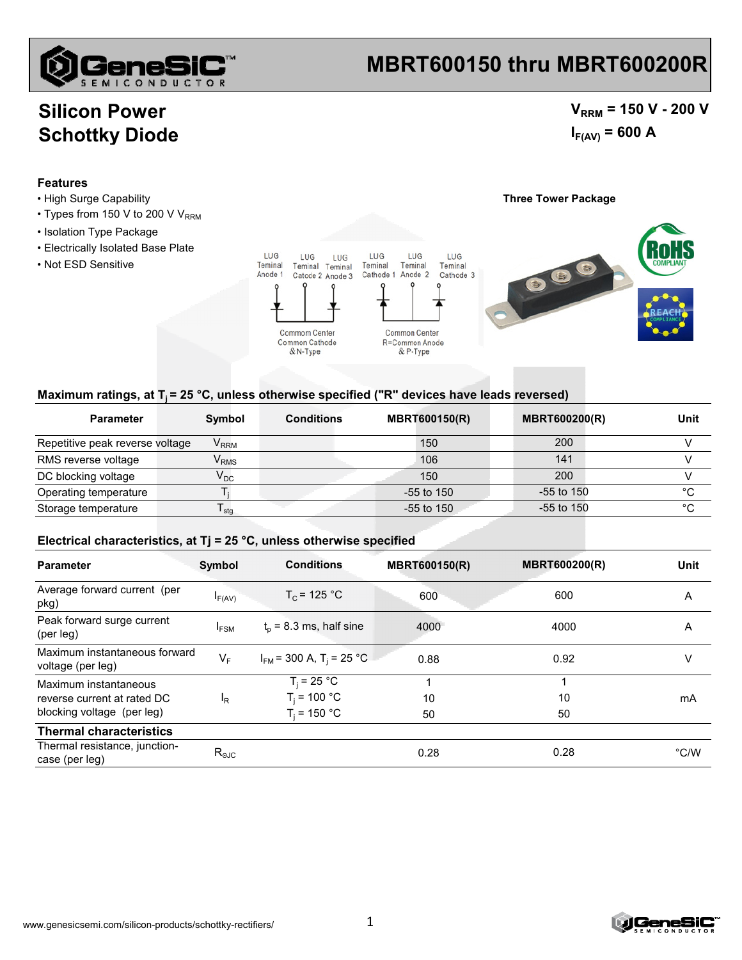

# **MBRT600150 thru MBRT600200R**

### **Silicon Power Schottky Diode**

### $V_{RRM}$  = 150 V - 200 V  $I_{F(AV)} = 600 A$

#### **Features**

- High Surge Capability **Three Tower Package**
- Types from 150 V to 200 V  $V_{RRM}$
- Isolation Type Package
- Electrically Isolated Base Plate
- Not ESD Sensitive





#### Maximum ratings, at T<sub>i</sub> = 25 °C, unless otherwise specified ("R" devices have leads reversed)

| <b>Parameter</b>                | Symbol                      | <b>Conditions</b> | <b>MBRT600150(R)</b> | <b>MBRT600200(R)</b> | Unit |
|---------------------------------|-----------------------------|-------------------|----------------------|----------------------|------|
| Repetitive peak reverse voltage | $\mathsf{V}_{\mathsf{RRM}}$ |                   | 150                  | 200                  |      |
| RMS reverse voltage             | $\mathsf{V}_{\mathsf{RMS}}$ |                   | 106                  | 141                  |      |
| DC blocking voltage             | $\mathsf{V}_\mathsf{DC}$    |                   | 150                  | 200                  |      |
| Operating temperature           |                             |                   | $-55$ to 150         | $-55$ to 150         | °C   |
| Storage temperature             | ∎ stq                       |                   | $-55$ to 150         | $-55$ to 150         | °C   |

#### **Electrical characteristics, at Tj = 25 °C, unless otherwise specified**

| <b>Parameter</b>                                   | Symbol           | <b>Conditions</b>                        | <b>MBRT600150(R)</b> | <b>MBRT600200(R)</b> | Unit          |
|----------------------------------------------------|------------------|------------------------------------------|----------------------|----------------------|---------------|
| Average forward current (per<br>pkg)               | $I_{F(AV)}$      | $T_c$ = 125 °C                           | 600                  | 600                  | Α             |
| Peak forward surge current<br>(per leg)            | <sup>I</sup> FSM | $t_0$ = 8.3 ms, half sine                | 4000                 | 4000                 | A             |
| Maximum instantaneous forward<br>voltage (per leg) | $V_F$            | $I_{FM}$ = 300 A, T <sub>i</sub> = 25 °C | 0.88                 | 0.92                 | v             |
| Maximum instantaneous                              |                  | $T_i = 25 °C$                            |                      | 4                    |               |
| reverse current at rated DC                        | <sup>I</sup> R   | $T_i = 100 °C$                           | 10                   | 10                   | mA            |
| blocking voltage (per leg)                         |                  | $T_i = 150 °C$                           | 50                   | 50                   |               |
| <b>Thermal characteristics</b>                     |                  |                                          |                      |                      |               |
| Thermal resistance, junction-<br>case (per leg)    | $R_{\text{eJC}}$ |                                          | 0.28                 | 0.28                 | $\degree$ C/W |

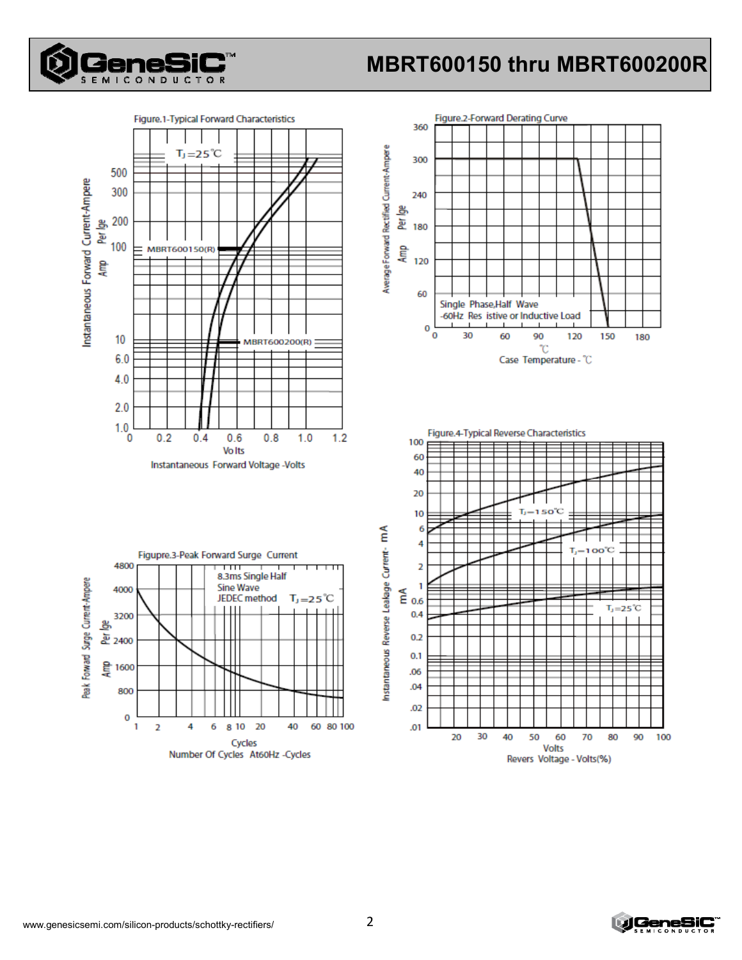

# MBRT600150 thru MBRT600200R